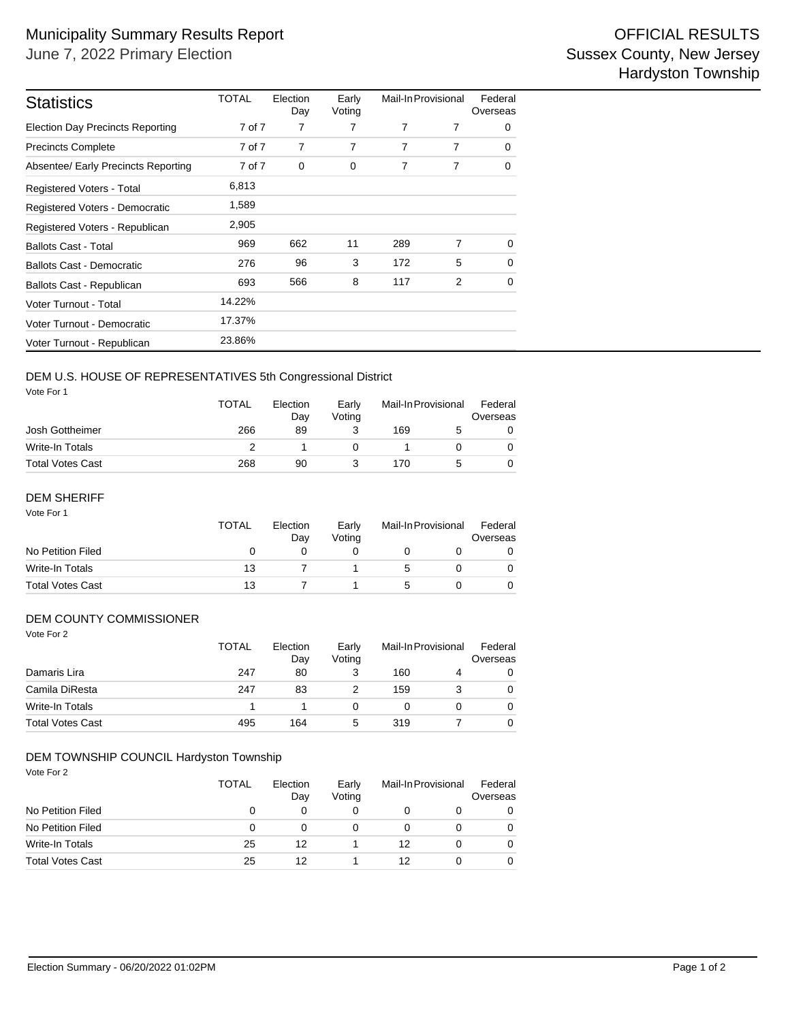| <b>Statistics</b>                       | TOTAL  | Election<br>Day | Early<br>Voting | Mail-In Provisional |   | Federal<br>Overseas |
|-----------------------------------------|--------|-----------------|-----------------|---------------------|---|---------------------|
| <b>Election Day Precincts Reporting</b> | 7 of 7 | 7               | 7               | 7                   | 7 | 0                   |
| <b>Precincts Complete</b>               | 7 of 7 | 7               | 7               | 7                   | 7 | 0                   |
| Absentee/ Early Precincts Reporting     | 7 of 7 | 0               | 0               | 7                   | 7 | 0                   |
| <b>Registered Voters - Total</b>        | 6,813  |                 |                 |                     |   |                     |
| Registered Voters - Democratic          | 1,589  |                 |                 |                     |   |                     |
| Registered Voters - Republican          | 2,905  |                 |                 |                     |   |                     |
| <b>Ballots Cast - Total</b>             | 969    | 662             | 11              | 289                 | 7 | $\Omega$            |
| <b>Ballots Cast - Democratic</b>        | 276    | 96              | 3               | 172                 | 5 | 0                   |
| Ballots Cast - Republican               | 693    | 566             | 8               | 117                 | 2 | $\Omega$            |
| Voter Turnout - Total                   | 14.22% |                 |                 |                     |   |                     |
| Voter Turnout - Democratic              | 17.37% |                 |                 |                     |   |                     |
| Voter Turnout - Republican              | 23.86% |                 |                 |                     |   |                     |

## DEM U.S. HOUSE OF REPRESENTATIVES 5th Congressional District

Vote For 1

|                         | <b>TOTAL</b> | Election<br>Dav | Early<br>Votina | Mail-In Provisional |  | Federal<br>Overseas |  |
|-------------------------|--------------|-----------------|-----------------|---------------------|--|---------------------|--|
| Josh Gottheimer         | 266          | 89              |                 | 169                 |  |                     |  |
| Write-In Totals         |              |                 |                 |                     |  |                     |  |
| <b>Total Votes Cast</b> | 268          | 90              |                 | 170                 |  |                     |  |

#### Vote For 1 DEM SHERIFF

|                         | <b>TOTAL</b> | Election<br>Dav | Early<br>Votina | Mail-In Provisional |  | Federal<br>Overseas |
|-------------------------|--------------|-----------------|-----------------|---------------------|--|---------------------|
| No Petition Filed       | $\mathbf{0}$ |                 |                 |                     |  |                     |
| Write-In Totals         | 13           |                 |                 | .5                  |  |                     |
| <b>Total Votes Cast</b> | 13           |                 |                 |                     |  |                     |

### DEM COUNTY COMMISSIONER

| Vote For 2              | <b>TOTAL</b> | Election<br>Day | Early<br>Voting | Mail-In Provisional |   | Federal<br>Overseas |
|-------------------------|--------------|-----------------|-----------------|---------------------|---|---------------------|
| Damaris Lira            | 247          | 80              | 3               | 160                 | 4 | 0                   |
| Camila DiResta          | 247          | 83              |                 | 159                 | 3 | 0                   |
| <b>Write-In Totals</b>  |              |                 | 0               | 0                   |   | 0                   |
| <b>Total Votes Cast</b> | 495          | 164             | 5               | 319                 |   | 0                   |

#### DEM TOWNSHIP COUNCIL Hardyston Township

Vote For 2

|                         | <b>TOTAL</b> | Election<br>Day | Early<br>Voting |    | Mail-In Provisional |   |
|-------------------------|--------------|-----------------|-----------------|----|---------------------|---|
| No Petition Filed       |              |                 |                 |    |                     | 0 |
| No Petition Filed       | $\Omega$     |                 |                 |    |                     | 0 |
| Write-In Totals         | 25           | 12              |                 | 12 |                     | 0 |
| <b>Total Votes Cast</b> | 25           | 12              |                 | 12 |                     | 0 |